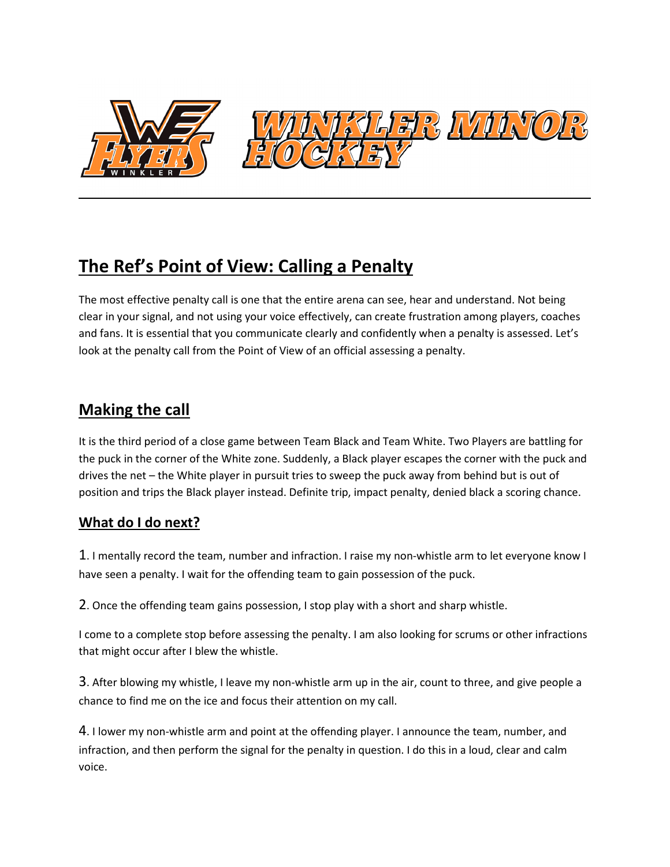

# **The Ref's Point of View: Calling a Penalty**

The most effective penalty call is one that the entire arena can see, hear and understand. Not being clear in your signal, and not using your voice effectively, can create frustration among players, coaches and fans. It is essential that you communicate clearly and confidently when a penalty is assessed. Let's look at the penalty call from the Point of View of an official assessing a penalty.

# **Making the call**

It is the third period of a close game between Team Black and Team White. Two Players are battling for the puck in the corner of the White zone. Suddenly, a Black player escapes the corner with the puck and drives the net – the White player in pursuit tries to sweep the puck away from behind but is out of position and trips the Black player instead. Definite trip, impact penalty, denied black a scoring chance.

## **What do I do next?**

1. I mentally record the team, number and infraction. I raise my non-whistle arm to let everyone know I have seen a penalty. I wait for the offending team to gain possession of the puck.

2. Once the offending team gains possession, I stop play with a short and sharp whistle.

I come to a complete stop before assessing the penalty. I am also looking for scrums or other infractions that might occur after I blew the whistle.

3. After blowing my whistle, I leave my non-whistle arm up in the air, count to three, and give people a chance to find me on the ice and focus their attention on my call.

4. I lower my non-whistle arm and point at the offending player. I announce the team, number, and infraction, and then perform the signal for the penalty in question. I do this in a loud, clear and calm voice.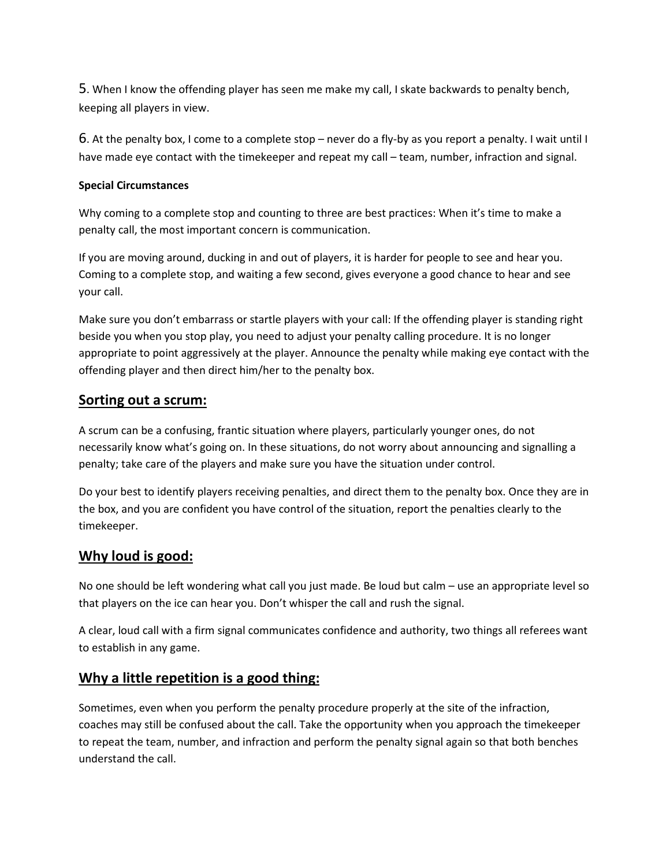5. When I know the offending player has seen me make my call, I skate backwards to penalty bench, keeping all players in view.

6. At the penalty box, I come to a complete stop – never do a fly-by as you report a penalty. I wait until I have made eye contact with the timekeeper and repeat my call – team, number, infraction and signal.

#### **Special Circumstances**

Why coming to a complete stop and counting to three are best practices: When it's time to make a penalty call, the most important concern is communication.

If you are moving around, ducking in and out of players, it is harder for people to see and hear you. Coming to a complete stop, and waiting a few second, gives everyone a good chance to hear and see your call.

Make sure you don't embarrass or startle players with your call: If the offending player is standing right beside you when you stop play, you need to adjust your penalty calling procedure. It is no longer appropriate to point aggressively at the player. Announce the penalty while making eye contact with the offending player and then direct him/her to the penalty box.

#### **Sorting out a scrum:**

A scrum can be a confusing, frantic situation where players, particularly younger ones, do not necessarily know what's going on. In these situations, do not worry about announcing and signalling a penalty; take care of the players and make sure you have the situation under control.

Do your best to identify players receiving penalties, and direct them to the penalty box. Once they are in the box, and you are confident you have control of the situation, report the penalties clearly to the timekeeper.

#### **Why loud is good:**

No one should be left wondering what call you just made. Be loud but calm – use an appropriate level so that players on the ice can hear you. Don't whisper the call and rush the signal.

A clear, loud call with a firm signal communicates confidence and authority, two things all referees want to establish in any game.

#### **Why a little repetition is a good thing:**

Sometimes, even when you perform the penalty procedure properly at the site of the infraction, coaches may still be confused about the call. Take the opportunity when you approach the timekeeper to repeat the team, number, and infraction and perform the penalty signal again so that both benches understand the call.